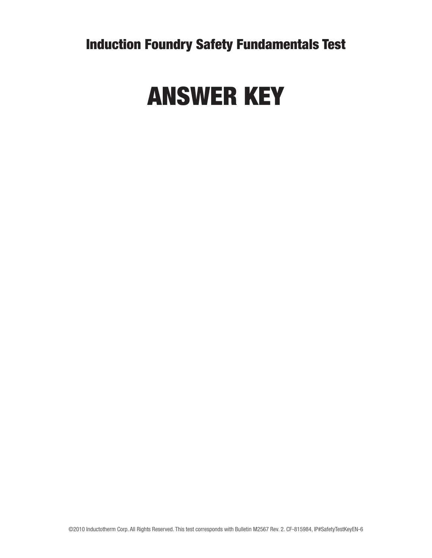Induction Foundry Safety Fundamentals Test

## ANSWER KEY

©2010 Inductotherm Corp. All Rights Reserved. This test corresponds with Bulletin M2567 Rev. 2. CF-815984, IP#SafetyTestKeyEN-6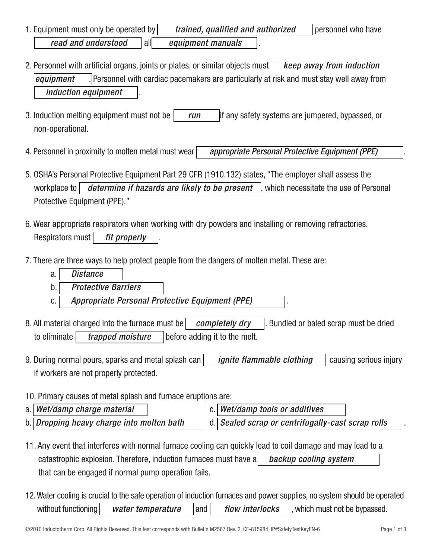- 1. Equipment must only be operated by *trained, qualified and authorized* personnel who have *read and understood* | all equipment manuals
- 2. Personnel with artificial organs, joints or plates, or similar objects must *keep away from induction equipment* . Personnel with cardiac pacemakers are particularly at risk and must stay well away from *induction equipment* .
- 3. Induction melting equipment must not be *run* if any safety systems are jumpered, bypassed, or non-operational.
- 4. Personnel in proximity to molten metal must wear *appropriate Personal Protective Equipment (PPE)* .
- 5. OSHA's Personal Protective Equipment Part 29 CFR (1910.132) states, "The employer shall assess the workplace to *determine if hazards are likely to be present*, which necessitate the use of Personal Protective Equipment (PPE)."
- 6. Wear appropriate respirators when working with dry powders and installing or removing refractories. Respirators must *fit properly* .
- 7. There are three ways to help protect people from the dangers of molten metal. These are:
	- a. *Distance*
	- b. *Protective Barriers*
	- c. *Appropriate Personal Protective Equipment (PPE)* .
- 8. All material charged into the furnace must be *completely dry* . Bundled or baled scrap must be dried to eliminate *trapped moisture* before adding it to the melt.
- 9. During normal pours, sparks and metal splash can *ignite flammable clothing* | causing serious injury if workers are not properly protected.
- 10. Primary causes of metal splash and furnace eruptions are:
- a. *Wet/damp charge material* c. *Wet/damp tools or additives* b. *Dropping heavy charge into molten bath* d. *Sealed scrap or centrifugally-cast scrap rolls* .
- 11. Any event that interferes with normal furnace cooling can quickly lead to coil damage and may lead to a catastrophic explosion. Therefore, induction furnaces must have a *backup cooling system* that can be engaged if normal pump operation fails.
- 12. Water cooling is crucial to the safe operation of induction furnaces and power supplies, no system should be operated without functioning *water temperature* and *flow interlocks*, which must not be bypassed.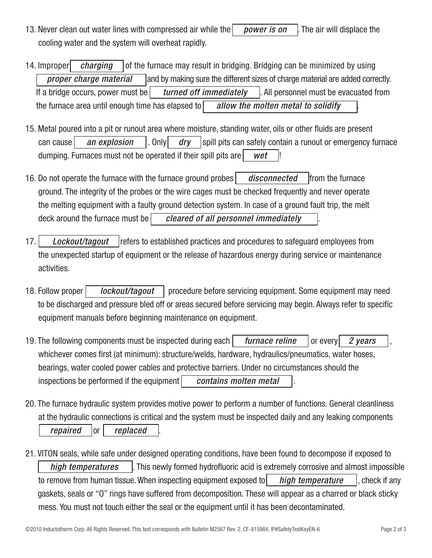- 13. Never clean out water lines with compressed air while the *power is on* . The air will displace the cooling water and the system will overheat rapidly.
- 14. Improper *charging* of the furnace may result in bridging. Bridging can be minimized by using *proper charge material* and by making sure the different sizes of charge material are added correctly. If a bridge occurs, power must be *turned off immediately* . All personnel must be evacuated from the furnace area until enough time has elapsed to *allow the molten metal to solidify* .
- 15. Metal poured into a pit or runout area where moisture, standing water, oils or other fluids are present can cause *an explosion* . Only *dry* spill pits can safely contain a runout or emergency furnace dumping. Furnaces must not be operated if their spill pits are *wet* !
- 16. Do not operate the furnace with the furnace ground probes *disconnected* from the furnace ground. The integrity of the probes or the wire cages must be checked frequently and never operate the melting equipment with a faulty ground detection system. In case of a ground fault trip, the melt deck around the furnace must be *cleared of all personnel immediately* .
- 17. *Lockout/tagout* | refers to established practices and procedures to safeguard employees from the unexpected startup of equipment or the release of hazardous energy during service or maintenance activities.
- 18. Follow proper *lackout/tagout* | procedure before servicing equipment. Some equipment may need to be discharged and pressure bled off or areas secured before servicing may begin. Always refer to specific equipment manuals before beginning maintenance on equipment.
- 19. The following components must be inspected during each *furnace reline* [or every] 2 years whichever comes first (at minimum): structure/welds, hardware, hydraulics/pneumatics, water hoses, bearings, water cooled power cables and protective barriers. Under no circumstances should the inspections be performed if the equipment *contains molten metal*
- 20. The furnace hydraulic system provides motive power to perform a number of functions. General cleanliness at the hydraulic connections is critical and the system must be inspected daily and any leaking components *repaired* or *replaced*
- 21. VITON seals, while safe under designed operating conditions, have been found to decompose if exposed to *high temperatures* | This newly formed hydrofluoric acid is extremely corrosive and almost impossible to remove from human tissue. When inspecting equipment exposed to *high temperature* , check if any gaskets, seals or "O" rings have suffered from decomposition. These will appear as a charred or black sticky mess. You must not touch either the seal or the equipment until it has been decontaminated.